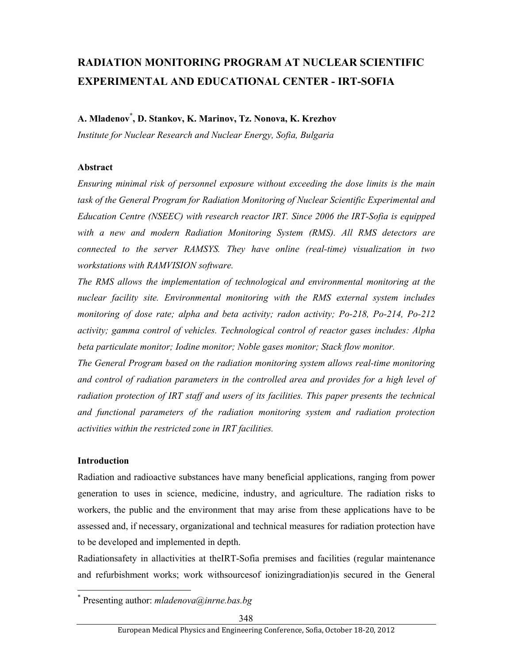# **RADIATION MONITORING PROGRAM AT NUCLEAR SCIENTIFIC EXPERIMENTAL AND EDUCATIONAL CENTER - IRT-SOFIA**

# **A. Mladenov\* , D. Stankov, K. Marinov, Tz. Nonova, K. Krezhov**

*Institute for Nuclear Research and Nuclear Energy, Sofia, Bulgaria* 

#### **Abstract**

*Ensuring minimal risk of personnel exposure without exceeding the dose limits is the main task of the General Program for Radiation Monitoring of Nuclear Scientific Experimental and Education Centre (NSEEC) with research reactor IRT. Since 2006 the IRT-Sofia is equipped with a new and modern Radiation Monitoring System (RMS). All RMS detectors are connected to the server RAMSYS. They have online (real-time) visualization in two workstations with RAMVISION software.* 

*The RMS allows the implementation of technological and environmental monitoring at the nuclear facility site. Environmental monitoring with the RMS external system includes monitoring of dose rate; alpha and beta activity; radon activity; Po-218, Po-214, Po-212 activity; gamma control of vehicles. Technological control of reactor gases includes: Alpha beta particulate monitor; Iodine monitor; Noble gases monitor; Stack flow monitor.* 

*The General Program based on the radiation monitoring system allows real-time monitoring and control of radiation parameters in the controlled area and provides for a high level of radiation protection of IRT staff and users of its facilities. This paper presents the technical and functional parameters of the radiation monitoring system and radiation protection activities within the restricted zone in IRT facilities.* 

## **Introduction**

l

Radiation and radioactive substances have many beneficial applications, ranging from power generation to uses in science, medicine, industry, and agriculture. The radiation risks to workers, the public and the environment that may arise from these applications have to be assessed and, if necessary, organizational and technical measures for radiation protection have to be developed and implemented in depth.

Radiationsafety in allactivities at theIRT-Sofia premises and facilities (regular maintenance and refurbishment works; work withsourcesof ionizingradiation)is secured in the General

<sup>\*</sup> Presenting author: *mladenova@inrne.bas.bg*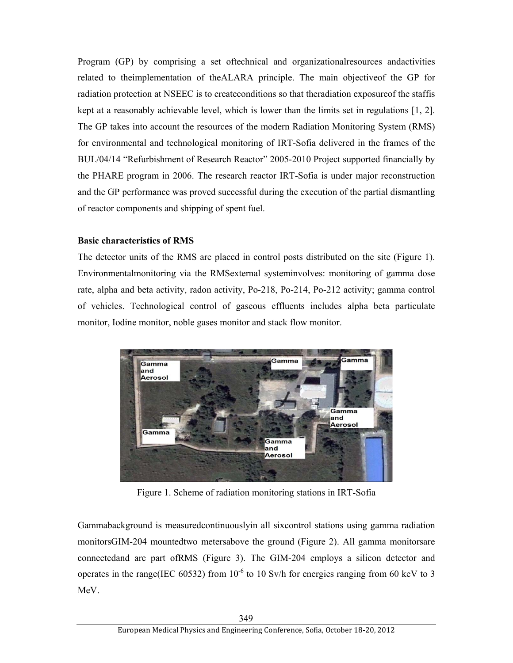Program (GP) by comprising a set oftechnical and organizationalresources andactivities related to theimplementation of theALARA principle. The main objectiveof the GP for radiation protection at NSEEC is to createconditions so that theradiation exposureof the staffis kept at a reasonably achievable level, which is lower than the limits set in regulations [1, 2]. The GP takes into account the resources of the modern Radiation Monitoring System (RMS) for environmental and technological monitoring of IRT-Sofia delivered in the frames of the BUL/04/14 "Refurbishment of Research Reactor" 2005-2010 Project supported financially by the PHARE program in 2006. The research reactor IRT-Sofia is under major reconstruction and the GP performance was proved successful during the execution of the partial dismantling of reactor components and shipping of spent fuel.

## **Basic characteristics of RMS**

The detector units of the RMS are placed in control posts distributed on the site (Figure 1). Environmentalmonitoring via the RMSexternal systeminvolves: monitoring of gamma dose rate, alpha and beta activity, radon activity, Po-218, Po-214, Po-212 activity; gamma control of vehicles. Technological control of gaseous effluents includes alpha beta particulate monitor, Iodine monitor, noble gases monitor and stack flow monitor.



Figure 1. Scheme of radiation monitoring stations in IRT-Sofia

Gammabackground is measuredcontinuouslyin all sixcontrol stations using gamma radiation monitorsGIM-204 mountedtwo metersabove the ground (Figure 2). All gamma monitorsare connectedand are part ofRMS (Figure 3). The GIM-204 employs a silicon detector and operates in the range(IEC 60532) from  $10^{-6}$  to 10 Sv/h for energies ranging from 60 keV to 3 MeV.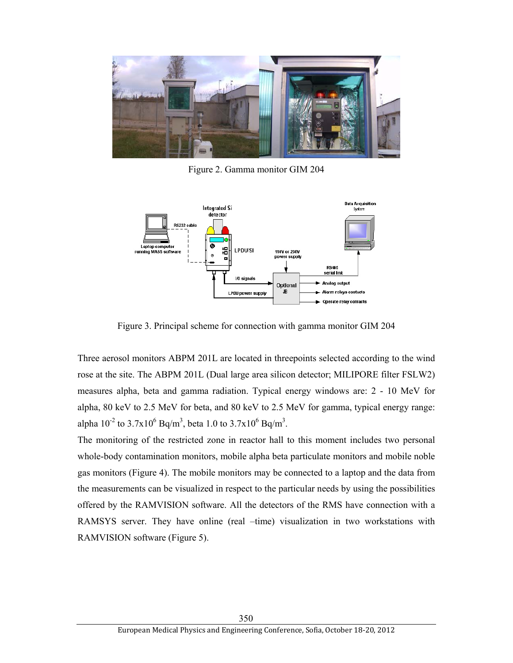

Figure 2. Gamma monitor GIM 204



Figure 3. Principal scheme for connection with gamma monitor GIM 204

Three aerosol monitors ABPM 201L are located in threepoints selected according to the wind rose at the site. The ABPM 201L (Dual large area silicon detector; MILIPORE filter FSLW2) measures alpha, beta and gamma radiation. Typical energy windows are: 2 - 10 MeV for alpha, 80 keV to 2.5 MeV for beta, and 80 keV to 2.5 MeV for gamma, typical energy range: alpha  $10^{-2}$  to  $3.7x10^6$  Bq/m<sup>3</sup>, beta 1.0 to  $3.7x10^6$  Bq/m<sup>3</sup>.

The monitoring of the restricted zone in reactor hall to this moment includes two personal whole-body contamination monitors, mobile alpha beta particulate monitors and mobile noble gas monitors (Figure 4). The mobile monitors may be connected to a laptop and the data from the measurements can be visualized in respect to the particular needs by using the possibilities offered by the RAMVISION software. All the detectors of the RMS have connection with a RAMSYS server. They have online (real –time) visualization in two workstations with RAMVISION software (Figure 5).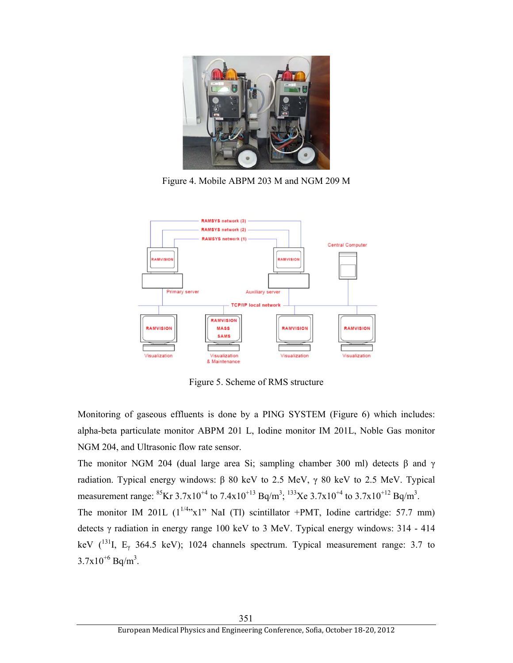

Figure 4. Mobile ABPM 203 M and NGM 209 M



Figure 5. Scheme of RMS structure

Monitoring of gaseous effluents is done by a PING SYSTEM (Figure 6) which includes: alpha-beta particulate monitor ABPM 201 L, Iodine monitor IM 201L, Noble Gas monitor NGM 204, and Ultrasonic flow rate sensor.

The monitor NGM 204 (dual large area Si; sampling chamber 300 ml) detects β and γ radiation. Typical energy windows: β 80 keV to 2.5 MeV,  $\gamma$  80 keV to 2.5 MeV. Typical measurement range:  ${}^{85}$ Kr 3.7x10<sup>+4</sup> to 7.4x10<sup>+13</sup> Bq/m<sup>3</sup>; <sup>133</sup>Xe 3.7x10<sup>+4</sup> to 3.7x10<sup>+12</sup> Bq/m<sup>3</sup>.

The monitor IM 201L  $(1^{1/4}x_1)^n$  NaI (Tl) scintillator +PMT, Iodine cartridge: 57.7 mm) detects γ radiation in energy range 100 keV to 3 MeV. Typical energy windows: 314 - 414 keV  $(^{131}I, E_y$  364.5 keV); 1024 channels spectrum. Typical measurement range: 3.7 to  $3.7x10^{+6}$  Bq/m<sup>3</sup>.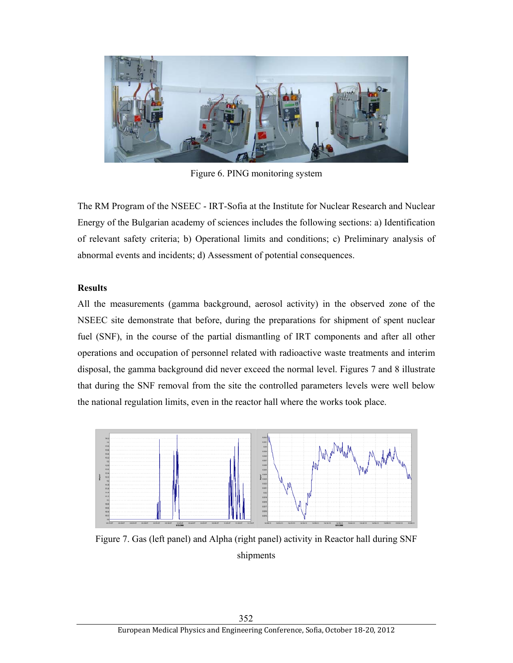

Figure 6. PING monitoring system

The RM Program of the NSEEC - IRT-Sofia at the Institute for Nuclear Research and Nuclear Energy of the Bulgarian academy of sciences includes the following sections: a) Identification of relevant safety criteria; b) Operational limits and conditions; c) Preliminary analysis of abnormal events and incidents; d) Assessment of potential consequences.

## **Results**

All the measurements (gamma background, aerosol activity) in the observed zone of the NSEEC site demonstrate that before, during the preparations for shipment of spent nuclear fuel (SNF), in the course of the partial dismantling of IRT components and after all other operations and occupation of personnel related with radioactive waste treatments and interim disposal, the gamma background did never exceed the normal level. Figures 7 and 8 illustrate that during the SNF removal from the site the controlled parameters levels were well below the national regulation limits, even in the reactor hall where the works took place.



Figure 7. Gas (left panel) and Alpha (right panel) activity in Reactor hall during SNF shipments